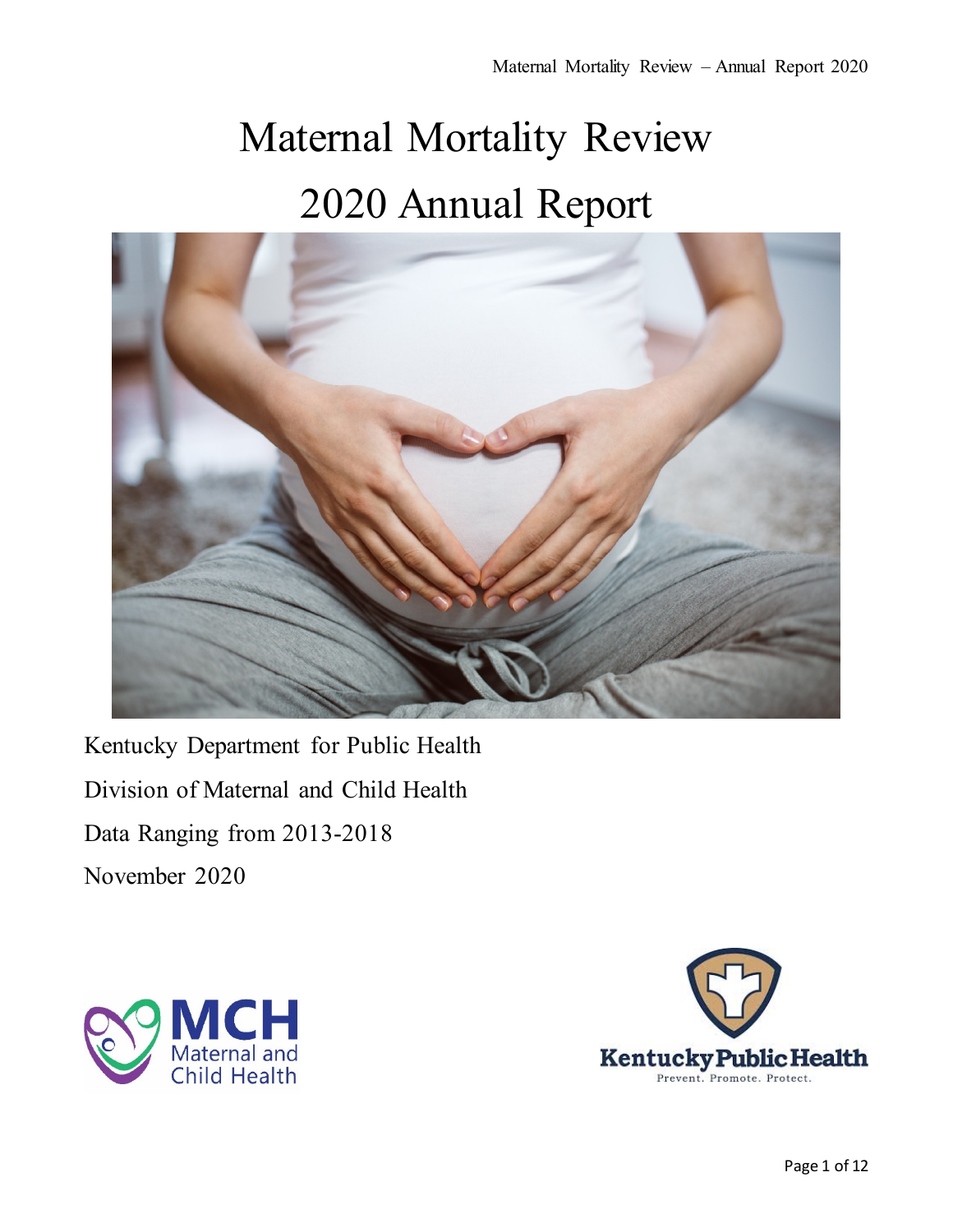# Maternal Mortality Review 2020 Annual Report



Kentucky Department for Public Health Division of Maternal and Child Health Data Ranging from 2013-2018 November 2020



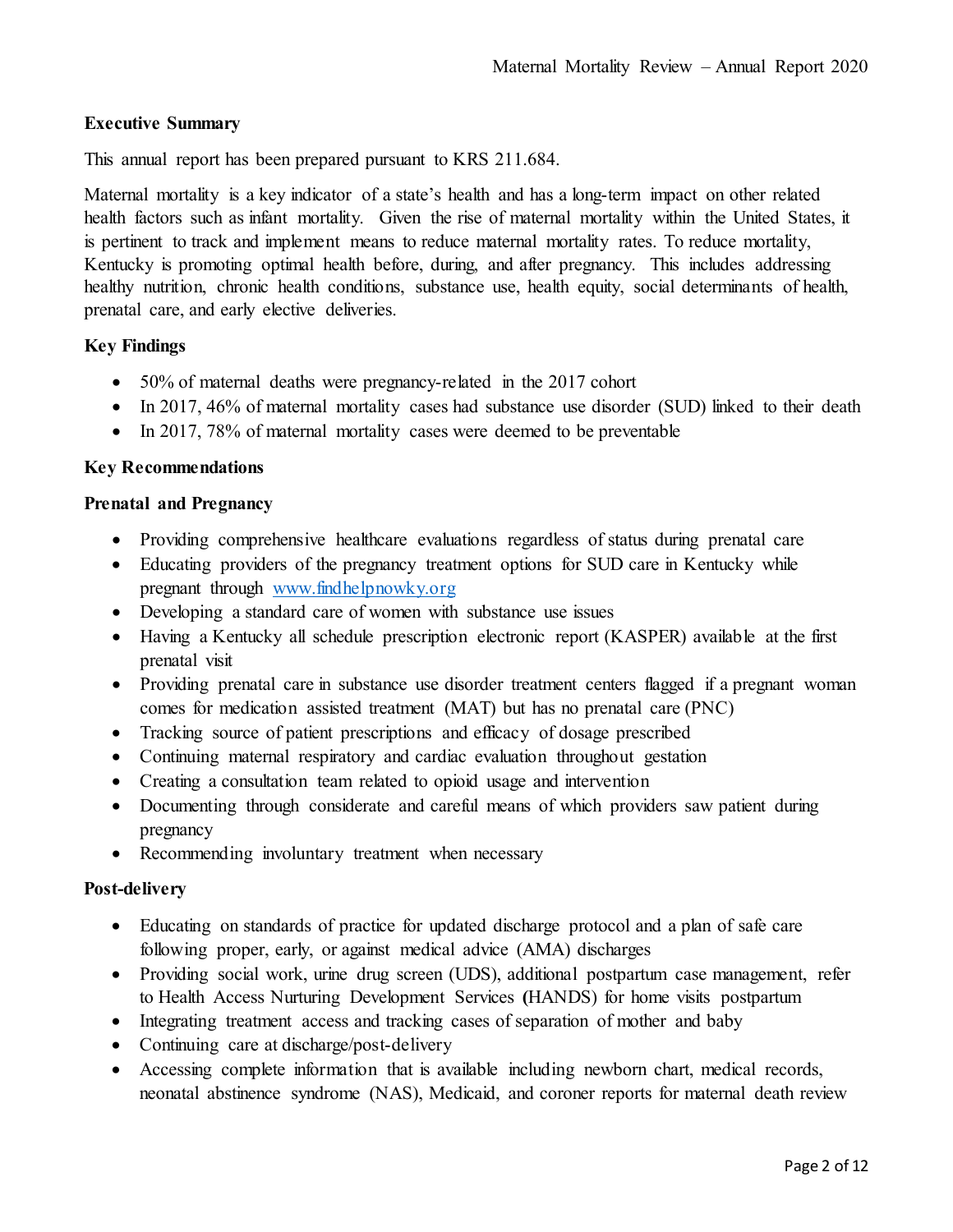# **Executive Summary**

This annual report has been prepared pursuant to KRS 211.684.

Maternal mortality is a key indicator of a state's health and has a long-term impact on other related health factors such as infant mortality. Given the rise of maternal mortality within the United States, it is pertinent to track and implement means to reduce maternal mortality rates. To reduce mortality, Kentucky is promoting optimal health before, during, and after pregnancy. This includes addressing healthy nutrition, chronic health conditions, substance use, health equity, social determinants of health, prenatal care, and early elective deliveries.

## **Key Findings**

- 50% of maternal deaths were pregnancy-related in the 2017 cohort
- In 2017, 46% of maternal mortality cases had substance use disorder (SUD) linked to their death
- In 2017, 78% of maternal mortality cases were deemed to be preventable

## **Key Recommendations**

#### **Prenatal and Pregnancy**

- Providing comprehensive healthcare evaluations regardless of status during prenatal care
- Educating providers of the pregnancy treatment options for SUD care in Kentucky while pregnant through [www.findhelpnowky.org](http://www.findhelpnowky.org/)
- Developing a standard care of women with substance use issues
- Having a Kentucky all schedule prescription electronic report (KASPER) available at the first prenatal visit
- Providing prenatal care in substance use disorder treatment centers flagged if a pregnant woman comes for medication assisted treatment (MAT) but has no prenatal care (PNC)
- Tracking source of patient prescriptions and efficacy of dosage prescribed
- Continuing maternal respiratory and cardiac evaluation throughout gestation
- Creating a consultation team related to opioid usage and intervention
- Documenting through considerate and careful means of which providers saw patient during pregnancy
- Recommending involuntary treatment when necessary

## **Post-delivery**

- Educating on standards of practice for updated discharge protocol and a plan of safe care following proper, early, or against medical advice (AMA) discharges
- Providing social work, urine drug screen (UDS), additional postpartum case management, refer to Health Access Nurturing Development Services **(**HANDS) for home visits postpartum
- Integrating treatment access and tracking cases of separation of mother and baby
- Continuing care at discharge/post-delivery
- Accessing complete information that is available including newborn chart, medical records, neonatal abstinence syndrome (NAS), Medicaid, and coroner reports for maternal death review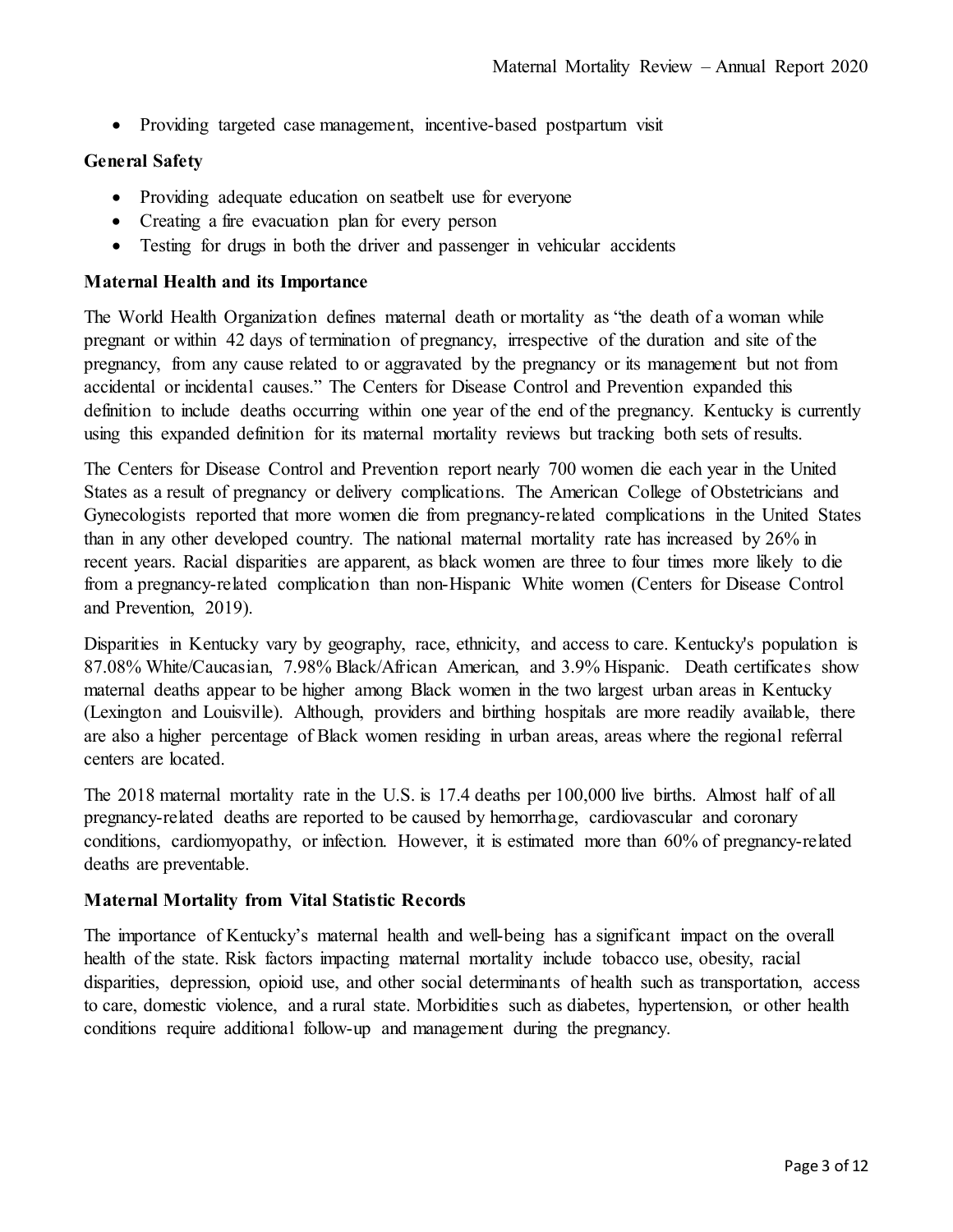• Providing targeted case management, incentive-based postpartum visit

## **General Safety**

- Providing adequate education on seatbelt use for everyone
- Creating a fire evacuation plan for every person
- Testing for drugs in both the driver and passenger in vehicular accidents

#### **Maternal Health and its Importance**

The World Health Organization defines maternal death or mortality as "the death of a woman while pregnant or within 42 days of termination of pregnancy, irrespective of the duration and site of the pregnancy, from any cause related to or aggravated by the pregnancy or its management but not from accidental or incidental causes." The Centers for Disease Control and Prevention expanded this definition to include deaths occurring within one year of the end of the pregnancy. Kentucky is currently using this expanded definition for its maternal mortality reviews but tracking both sets of results.

The Centers for Disease Control and Prevention report nearly 700 women die each year in the United States as a result of pregnancy or delivery complications. The American College of Obstetricians and Gynecologists reported that more women die from pregnancy-related complications in the United States than in any other developed country. The national maternal mortality rate has increased by 26% in recent years. Racial disparities are apparent, as black women are three to four times more likely to die from a pregnancy-related complication than non-Hispanic White women (Centers for Disease Control and Prevention, 2019).

Disparities in Kentucky vary by geography, race, ethnicity, and access to care. Kentucky's population is 87.08% White/Caucasian, 7.98% Black/African American, and 3.9% Hispanic. Death certificates show maternal deaths appear to be higher among Black women in the two largest urban areas in Kentucky (Lexington and Louisville). Although, providers and birthing hospitals are more readily available, there are also a higher percentage of Black women residing in urban areas, areas where the regional referral centers are located.

The 2018 maternal mortality rate in the U.S. is 17.4 deaths per 100,000 live births. Almost half of all pregnancy-related deaths are reported to be caused by hemorrhage, cardiovascular and coronary conditions, cardiomyopathy, or infection. However, it is estimated more than 60% of pregnancy-related deaths are preventable.

## **Maternal Mortality from Vital Statistic Records**

The importance of Kentucky's maternal health and well-being has a significant impact on the overall health of the state. Risk factors impacting maternal mortality include tobacco use, obesity, racial disparities, depression, opioid use, and other social determinants of health such as transportation, access to care, domestic violence, and a rural state. Morbidities such as diabetes, hypertension, or other health conditions require additional follow-up and management during the pregnancy.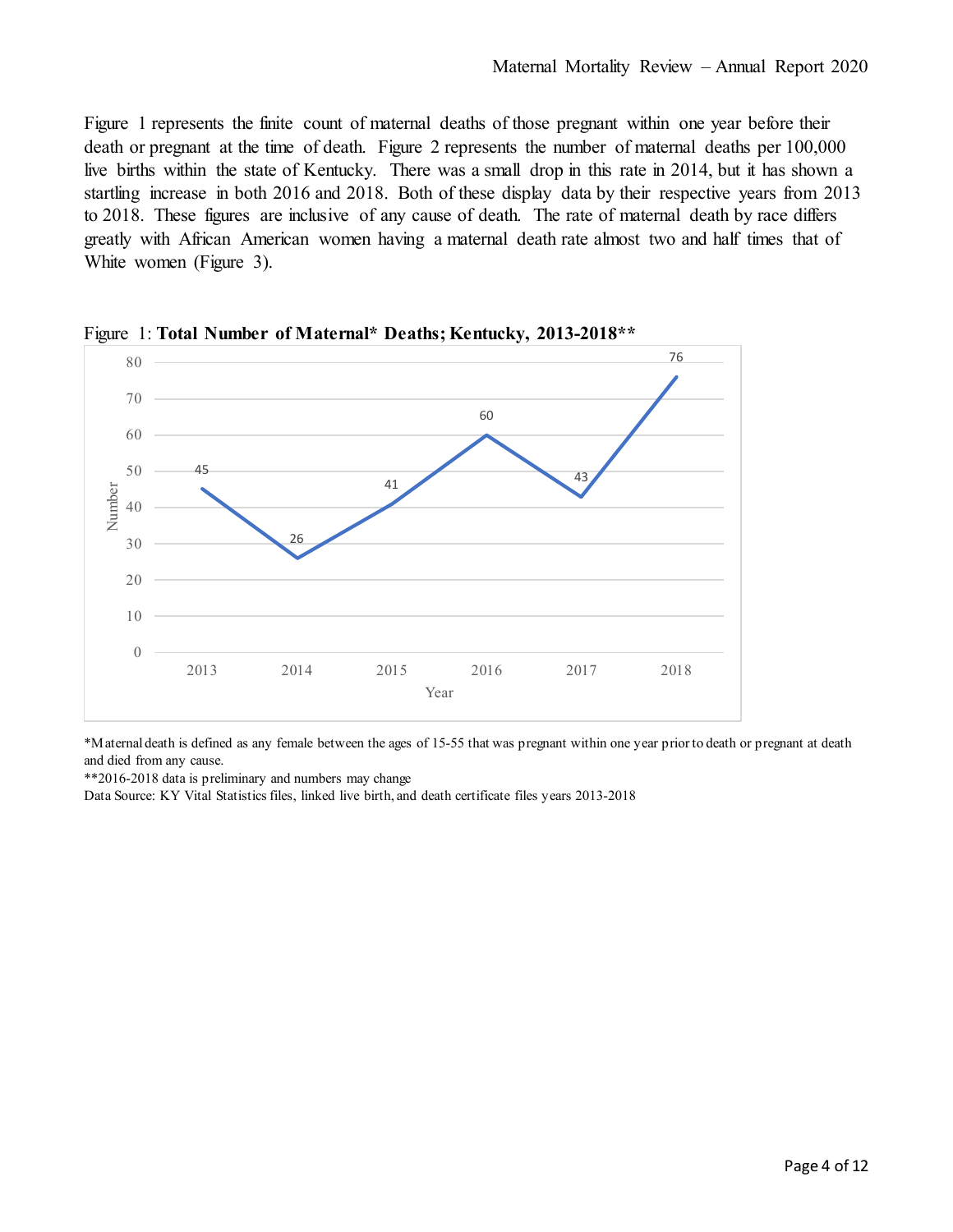Figure 1 represents the finite count of maternal deaths of those pregnant within one year before their death or pregnant at the time of death. Figure 2 represents the number of maternal deaths per 100,000 live births within the state of Kentucky. There was a small drop in this rate in 2014, but it has shown a startling increase in both 2016 and 2018. Both of these display data by their respective years from 2013 to 2018. These figures are inclusive of any cause of death. The rate of maternal death by race differs greatly with African American women having a maternal death rate almost two and half times that of White women (Figure 3).



Figure 1: **Total Number of Maternal\* Deaths; Kentucky, 2013-2018\*\***

\*Maternal death is defined as any female between the ages of 15-55 that was pregnant within one year prior to death or pregnant at death and died from any cause.

\*\*2016-2018 data is preliminary and numbers may change

Data Source: KY Vital Statistics files, linked live birth, and death certificate files years 2013-2018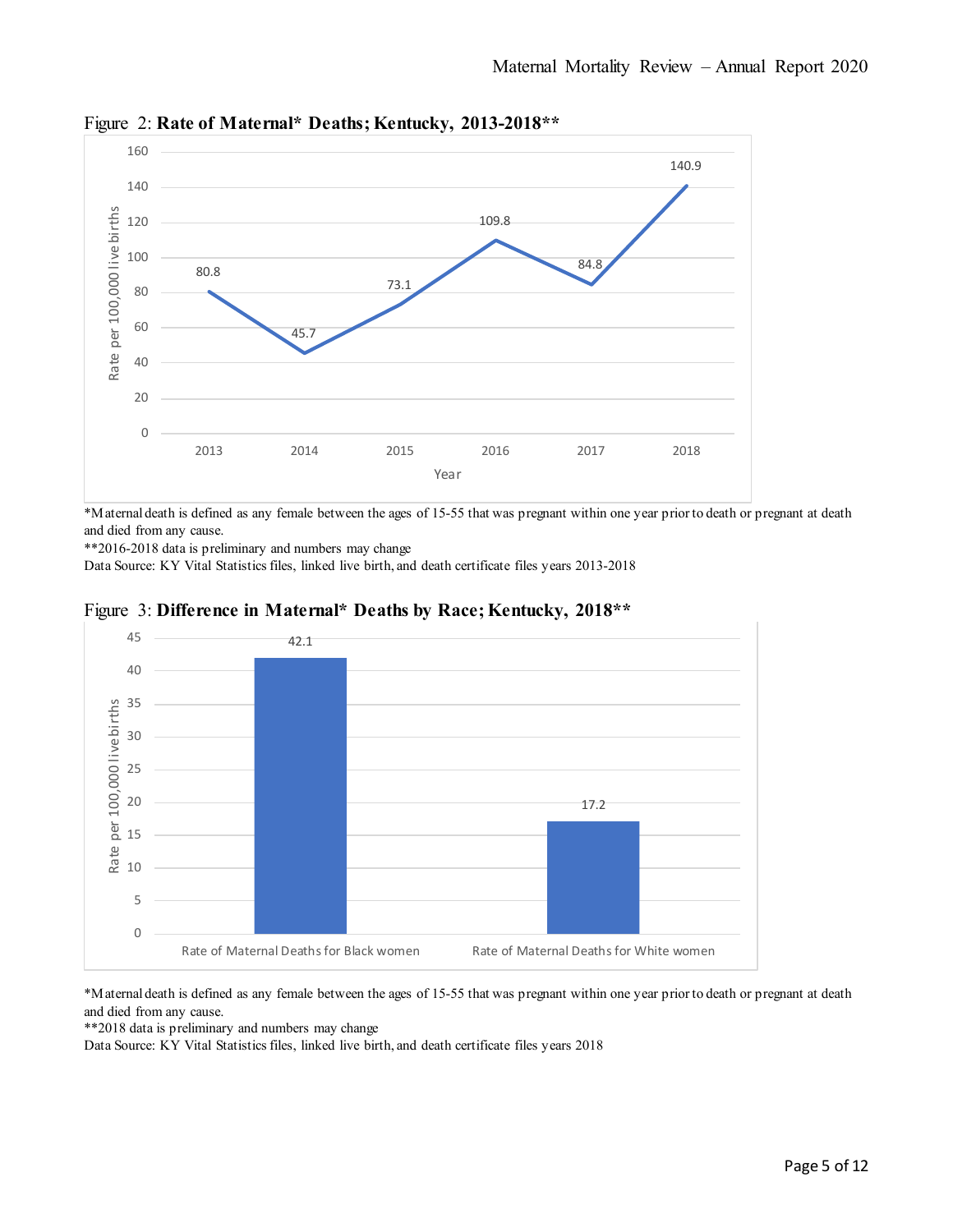

Figure 2: **Rate of Maternal\* Deaths; Kentucky, 2013-2018\*\***

\*Maternal death is defined as any female between the ages of 15-55 that was pregnant within one year prior to death or pregnant at death and died from any cause.

\*\*2016-2018 data is preliminary and numbers may change

Data Source: KY Vital Statistics files, linked live birth, and death certificate files years 2013-2018



## Figure 3: **Difference in Maternal\* Deaths by Race; Kentucky, 2018\*\***

\*Maternal death is defined as any female between the ages of 15-55 that was pregnant within one year prior to death or pregnant at death and died from any cause.

Rate of Maternal Deaths for Black women Rate of Maternal Deaths for White women

\*\*2018 data is preliminary and numbers may change

0

5

10

Rate<sub>l</sub>

15

Data Source: KY Vital Statistics files, linked live birth, and death certificate files years 2018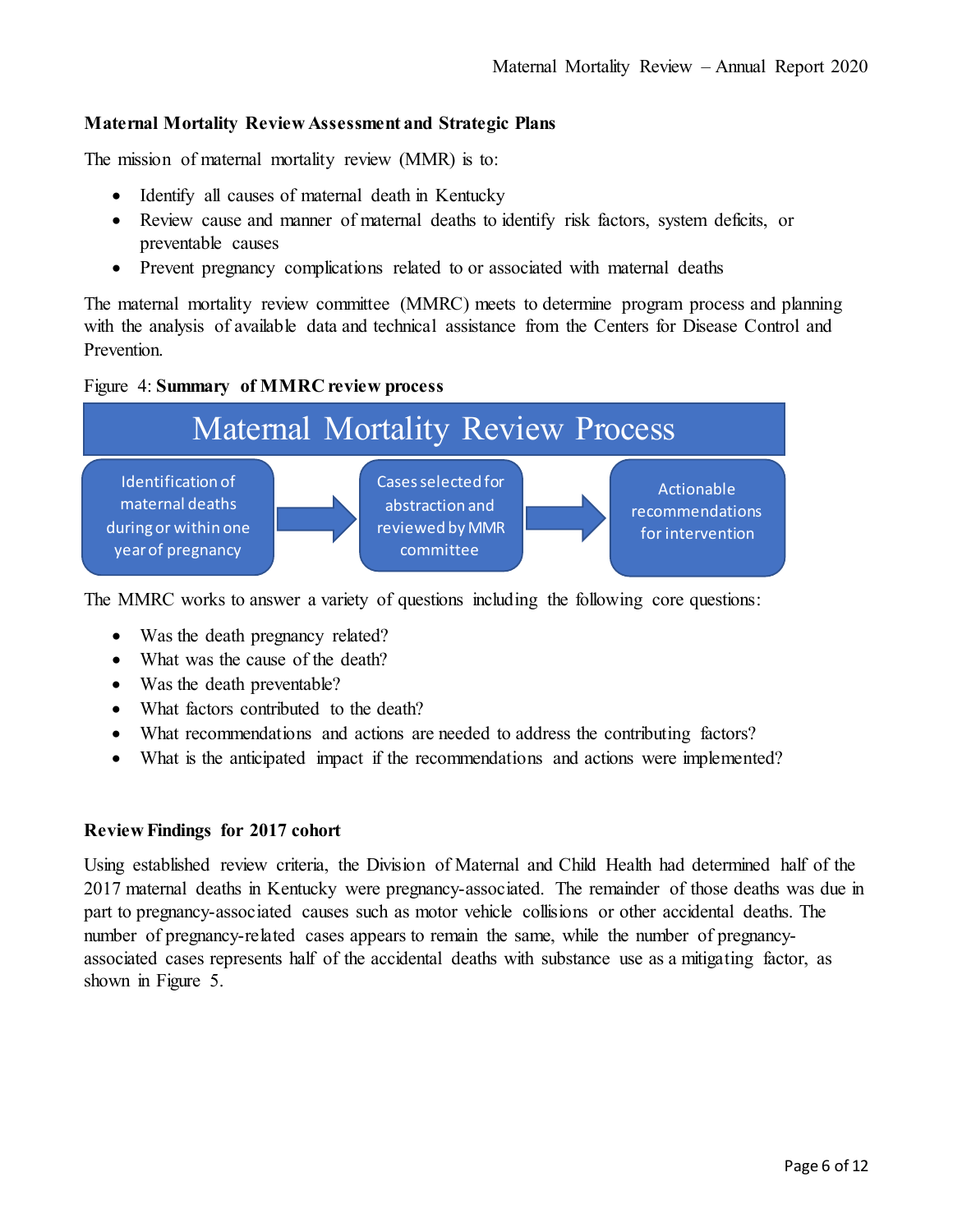## **Maternal Mortality Review Assessment and Strategic Plans**

The mission of maternal mortality review (MMR) is to:

- Identify all causes of maternal death in Kentucky
- Review cause and manner of maternal deaths to identify risk factors, system deficits, or preventable causes
- Prevent pregnancy complications related to or associated with maternal deaths

The maternal mortality review committee (MMRC) meets to determine program process and planning with the analysis of available data and technical assistance from the Centers for Disease Control and Prevention.

#### Figure 4: **Summary of MMRC review process**



The MMRC works to answer a variety of questions including the following core questions:

- Was the death pregnancy related?
- What was the cause of the death?
- Was the death preventable?
- What factors contributed to the death?
- What recommendations and actions are needed to address the contributing factors?
- What is the anticipated impact if the recommendations and actions were implemented?

## **Review Findings for 2017 cohort**

Using established review criteria, the Division of Maternal and Child Health had determined half of the 2017 maternal deaths in Kentucky were pregnancy-associated. The remainder of those deaths was due in part to pregnancy-associated causes such as motor vehicle collisions or other accidental deaths. The number of pregnancy-related cases appears to remain the same, while the number of pregnancyassociated cases represents half of the accidental deaths with substance use as a mitigating factor, as shown in Figure 5.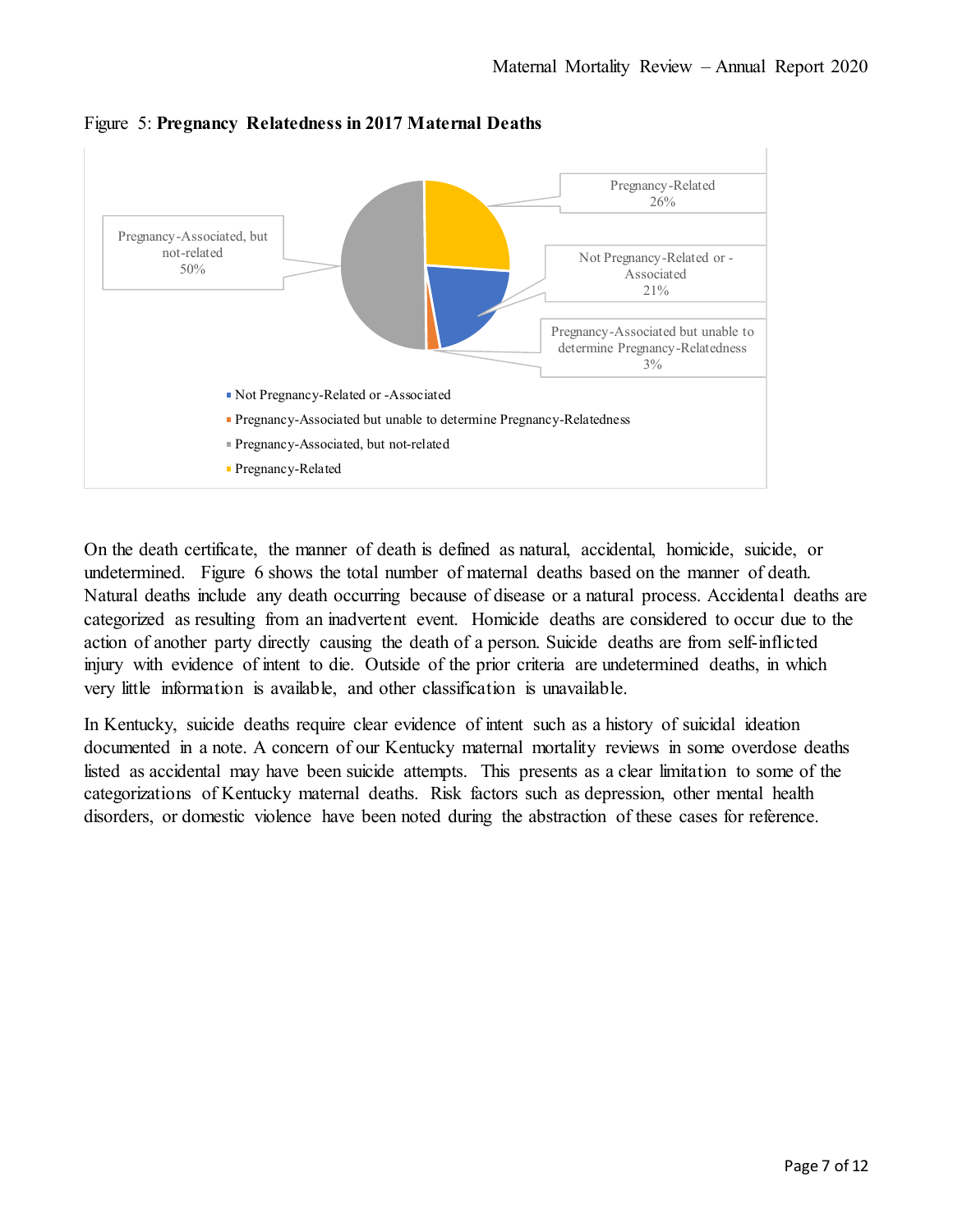

Figure 5: **Pregnancy Relatedness in 2017 Maternal Deaths**

On the death certificate, the manner of death is defined as natural, accidental, homicide, suicide, or undetermined. Figure 6 shows the total number of maternal deaths based on the manner of death. Natural deaths include any death occurring because of disease or a natural process. Accidental deaths are categorized as resulting from an inadvertent event. Homicide deaths are considered to occur due to the action of another party directly causing the death of a person. Suicide deaths are from self-inflicted injury with evidence of intent to die. Outside of the prior criteria are undetermined deaths, in which very little information is available, and other classification is unavailable.

In Kentucky, suicide deaths require clear evidence of intent such as a history of suicidal ideation documented in a note. A concern of our Kentucky maternal mortality reviews in some overdose deaths listed as accidental may have been suicide attempts. This presents as a clear limitation to some of the categorizations of Kentucky maternal deaths. Risk factors such as depression, other mental health disorders, or domestic violence have been noted during the abstraction of these cases for reference.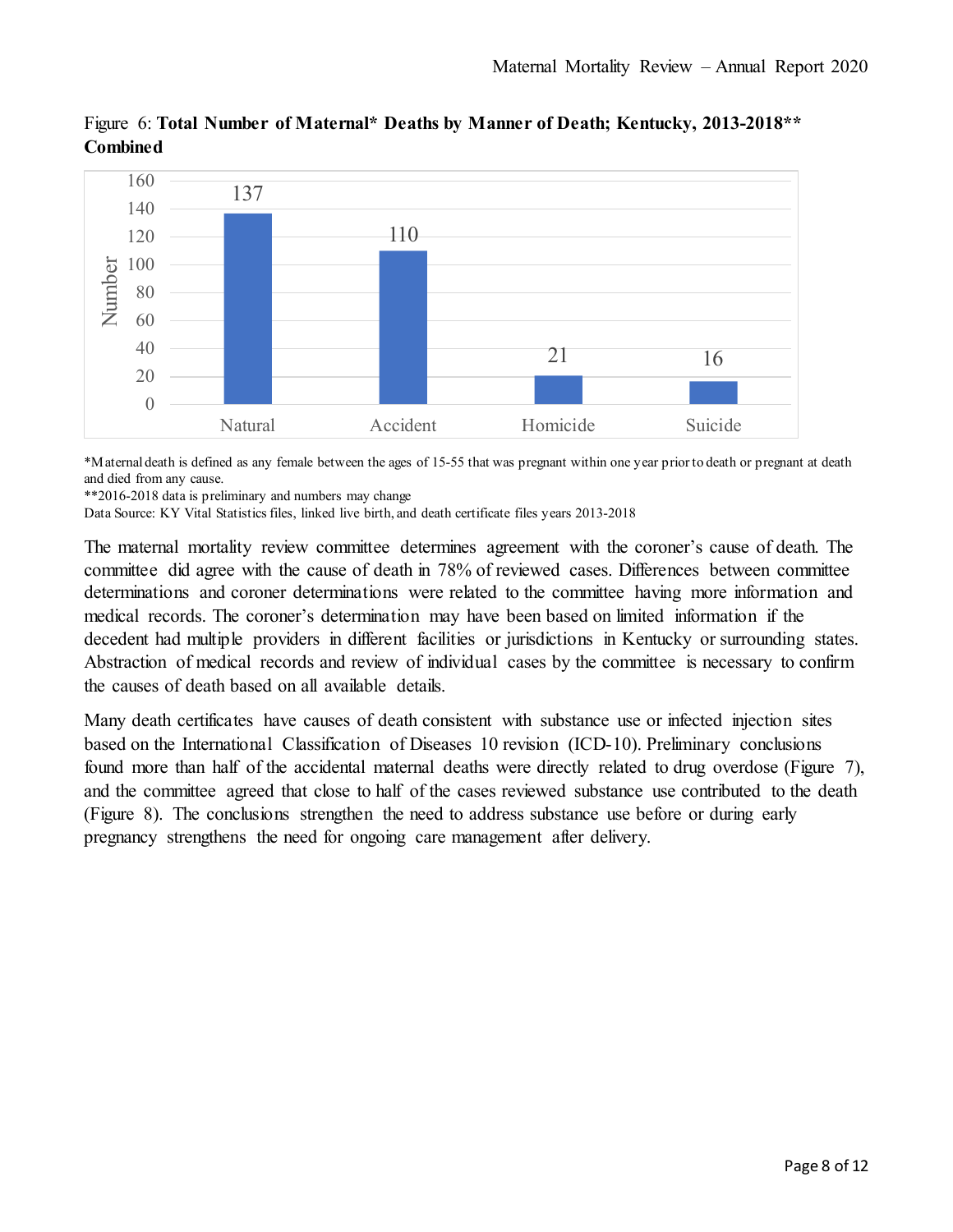

Figure 6: **Total Number of Maternal\* Deaths by Manner of Death; Kentucky, 2013-2018\*\* Combined**

\*Maternal death is defined as any female between the ages of 15-55 that was pregnant within one year prior to death or pregnant at death and died from any cause.

\*\*2016-2018 data is preliminary and numbers may change

Data Source: KY Vital Statistics files, linked live birth, and death certificate files years 2013-2018

The maternal mortality review committee determines agreement with the coroner's cause of death. The committee did agree with the cause of death in 78% of reviewed cases. Differences between committee determinations and coroner determinations were related to the committee having more information and medical records. The coroner's determination may have been based on limited information if the decedent had multiple providers in different facilities or jurisdictions in Kentucky or surrounding states. Abstraction of medical records and review of individual cases by the committee is necessary to confirm the causes of death based on all available details.

Many death certificates have causes of death consistent with substance use or infected injection sites based on the International Classification of Diseases 10 revision (ICD-10). Preliminary conclusions found more than half of the accidental maternal deaths were directly related to drug overdose (Figure 7), and the committee agreed that close to half of the cases reviewed substance use contributed to the death (Figure 8). The conclusions strengthen the need to address substance use before or during early pregnancy strengthens the need for ongoing care management after delivery.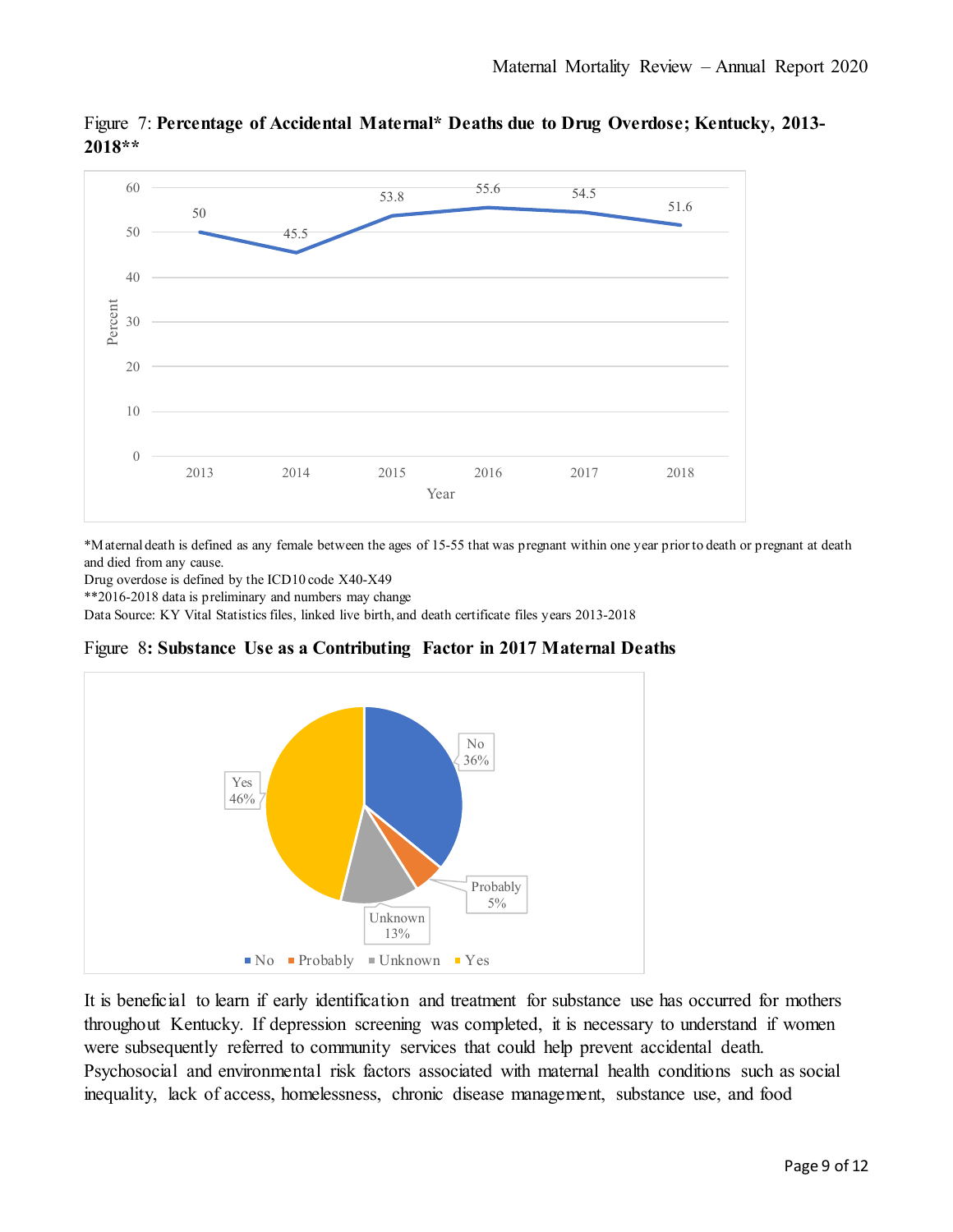

Figure 7: **Percentage of Accidental Maternal\* Deaths due to Drug Overdose; Kentucky, 2013- 2018\*\***

\*Maternal death is defined as any female between the ages of 15-55 that was pregnant within one year prior to death or pregnant at death and died from any cause.

Drug overdose is defined by the ICD10 code X40-X49

\*\*2016-2018 data is preliminary and numbers may change

Data Source: KY Vital Statistics files, linked live birth, and death certificate files years 2013-2018





It is beneficial to learn if early identification and treatment for substance use has occurred for mothers throughout Kentucky. If depression screening was completed, it is necessary to understand if women were subsequently referred to community services that could help prevent accidental death. Psychosocial and environmental risk factors associated with maternal health conditions such as social inequality, lack of access, homelessness, chronic disease management, substance use, and food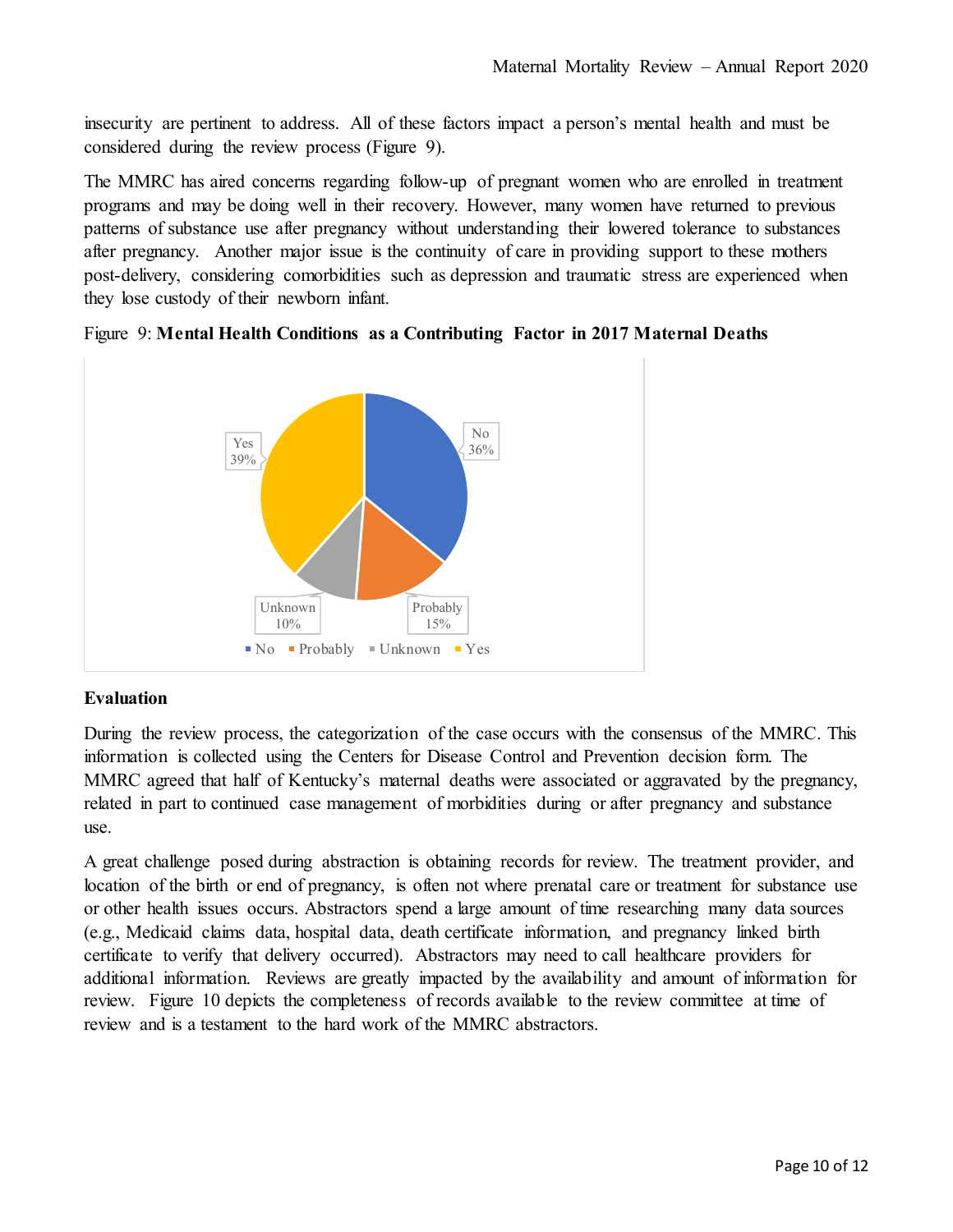insecurity are pertinent to address. All of these factors impact a person's mental health and must be considered during the review process (Figure 9).

The MMRC has aired concerns regarding follow-up of pregnant women who are enrolled in treatment programs and may be doing well in their recovery. However, many women have returned to previous patterns of substance use after pregnancy without understanding their lowered tolerance to substances after pregnancy. Another major issue is the continuity of care in providing support to these mothers post-delivery, considering comorbidities such as depression and traumatic stress are experienced when they lose custody of their newborn infant.



Figure 9: **Mental Health Conditions as a Contributing Factor in 2017 Maternal Deaths**

# **Evaluation**

During the review process, the categorization of the case occurs with the consensus of the MMRC. This information is collected using the Centers for Disease Control and Prevention decision form. The MMRC agreed that half of Kentucky's maternal deaths were associated or aggravated by the pregnancy, related in part to continued case management of morbidities during or after pregnancy and substance use.

A great challenge posed during abstraction is obtaining records for review. The treatment provider, and location of the birth or end of pregnancy, is often not where prenatal care or treatment for substance use or other health issues occurs. Abstractors spend a large amount of time researching many data sources (e.g., Medicaid claims data, hospital data, death certificate information, and pregnancy linked birth certificate to verify that delivery occurred). Abstractors may need to call healthcare providers for additional information. Reviews are greatly impacted by the availability and amount of information for review. Figure 10 depicts the completeness of records available to the review committee at time of review and is a testament to the hard work of the MMRC abstractors.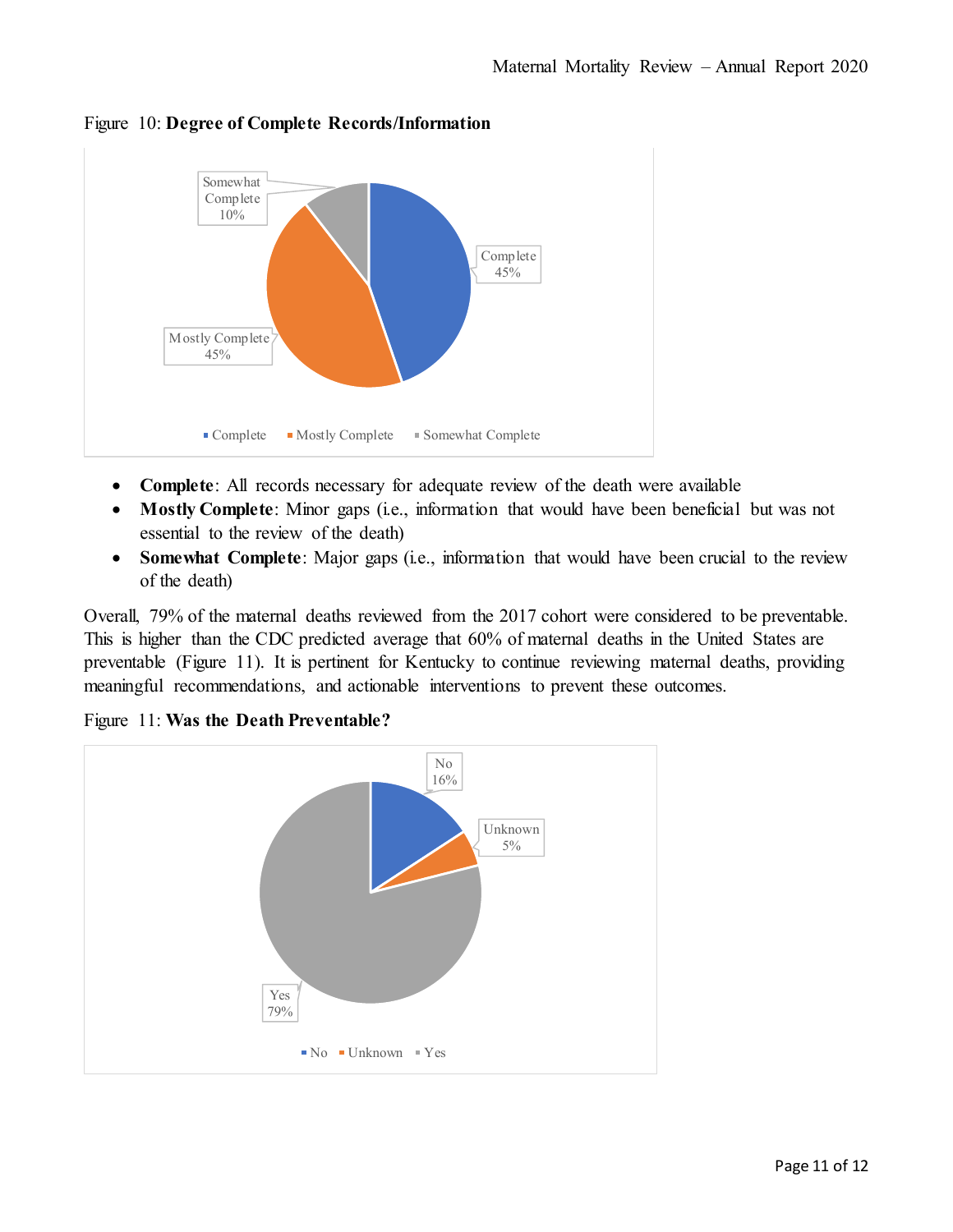

Figure 10: **Degree of Complete Records/Information**

- **Complete**: All records necessary for adequate review of the death were available
- **Mostly Complete**: Minor gaps (i.e., information that would have been beneficial but was not essential to the review of the death)
- **Somewhat Complete**: Major gaps (i.e., information that would have been crucial to the review of the death)

Overall, 79% of the maternal deaths reviewed from the 2017 cohort were considered to be preventable. This is higher than the CDC predicted average that 60% of maternal deaths in the United States are preventable (Figure 11). It is pertinent for Kentucky to continue reviewing maternal deaths, providing meaningful recommendations, and actionable interventions to prevent these outcomes.

Figure 11: **Was the Death Preventable?**